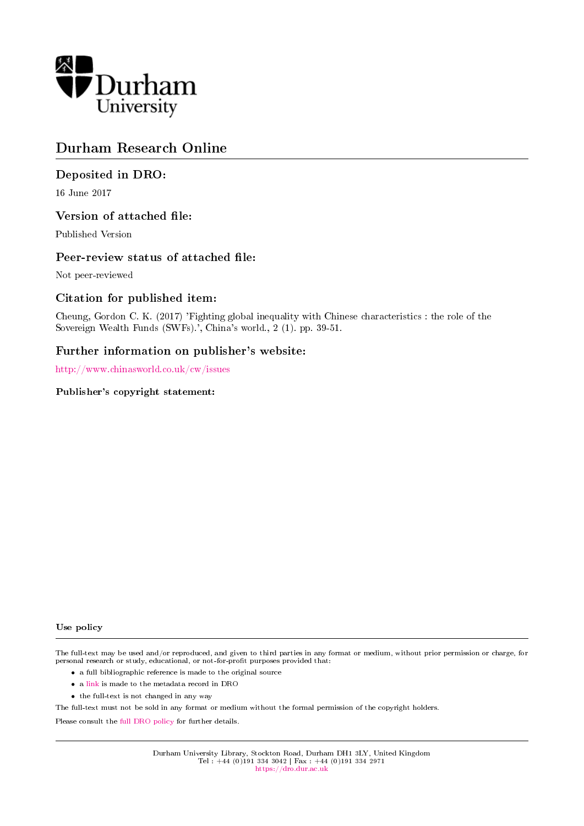

## Durham Research Online

## Deposited in DRO:

16 June 2017

## Version of attached file:

Published Version

## Peer-review status of attached file:

Not peer-reviewed

## Citation for published item:

Cheung, Gordon C. K. (2017) 'Fighting global inequality with Chinese characteristics : the role of the Sovereign Wealth Funds (SWFs).', China's world., 2 (1). pp. 39-51.

## Further information on publisher's website:

<http://www.chinasworld.co.uk/cw/issues>

#### Publisher's copyright statement:

#### Use policy

The full-text may be used and/or reproduced, and given to third parties in any format or medium, without prior permission or charge, for personal research or study, educational, or not-for-profit purposes provided that:

- a full bibliographic reference is made to the original source
- a [link](http://dro.dur.ac.uk/22049/) is made to the metadata record in DRO
- the full-text is not changed in any way

The full-text must not be sold in any format or medium without the formal permission of the copyright holders.

Please consult the [full DRO policy](https://dro.dur.ac.uk/policies/usepolicy.pdf) for further details.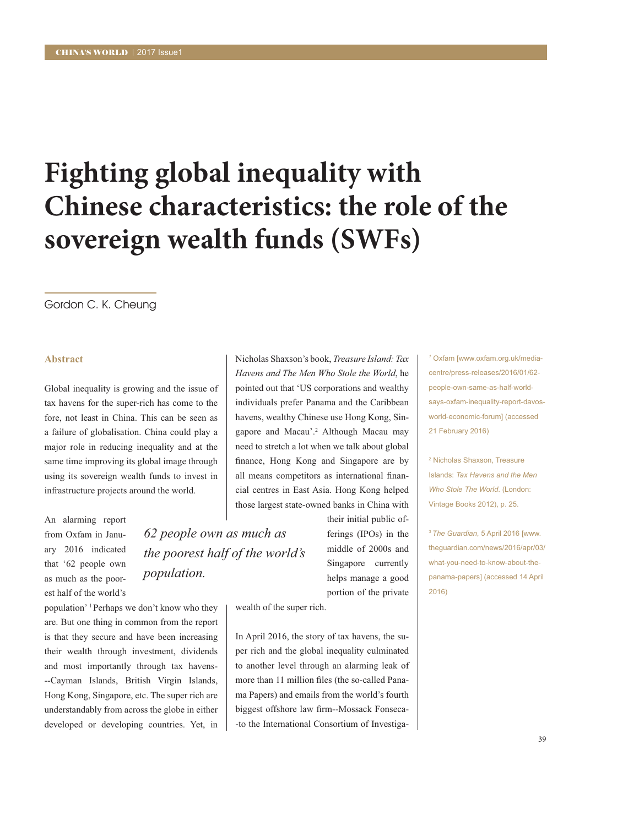# Fighting global inequality with Chinese characteristics: the role of the sovereign wealth funds (SWFs)

#### Gordon C. K. Cheung

#### **Abstract**

Global inequality is growing and the issue of tax havens for the super-rich has come to the fore, not least in China. This can be seen as a failure of globalisation. China could play a major role in reducing inequality and at the same time improving its global image through using its sovereign wealth funds to invest in infrastructure projects around the world.

An alarming report from Oxfam in January 2016 indicated that '62 people own as much as the poorest half of the world's

population' <sup>1</sup> Perhaps we don't know who they are. But one thing in common from the report is that they secure and have been increasing their wealth through investment, dividends and most importantly through tax havens---Cayman Islands, British Virgin Islands, Hong Kong, Singapore, etc. The super rich are understandably from across the globe in either developed or developing countries. Yet, in Nicholas Shaxson's book. Treasure Island: Tax Havens and The Men Who Stole the World, he pointed out that 'US corporations and wealthy individuals prefer Panama and the Caribbean havens, wealthy Chinese use Hong Kong, Singapore and Macau'.<sup>2</sup> Although Macau may need to stretch a lot when we talk about global finance, Hong Kong and Singapore are by all means competitors as international financial centres in East Asia. Hong Kong helped those largest state-owned banks in China with

62 people own as much as the poorest half of the world's population.

their initial public offerings (IPOs) in the middle of 2000s and Singapore currently helps manage a good portion of the private

wealth of the super rich.

In April 2016, the story of tax havens, the super rich and the global inequality culminated to another level through an alarming leak of more than 11 million files (the so-called Panama Papers) and emails from the world's fourth biggest offshore law firm--Mossack Fonseca--to the International Consortium of Investiga-

<sup>1</sup> Oxfam [www.oxfam.org.uk/mediacentre/press-releases/2016/01/62people-own-same-as-half-worldsays-oxfam-inequality-report-davosworld-economic-forum] (accessed 21 February 2016)

<sup>2</sup> Nicholas Shaxson, Treasure Islands: Tax Hayens and the Men Who Stole The World. (London: Vintage Books 2012), p. 25.

<sup>3</sup> The Guardian, 5 April 2016 [www. thequardian.com/news/2016/apr/03/ what-you-need-to-know-about-thepanama-papers] (accessed 14 April  $2016)$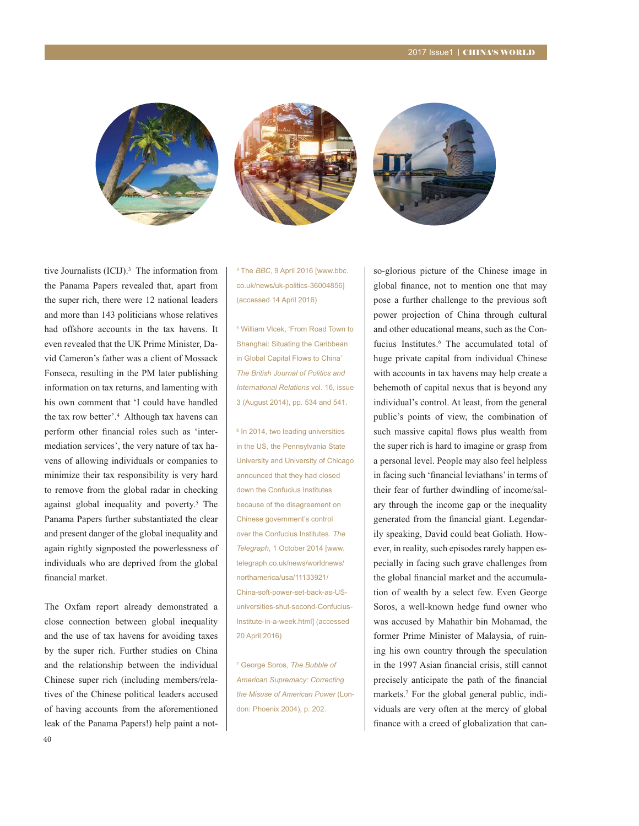





tive Journalists (ICIJ).3 The information from the Panama Papers revealed that, apart from the super rich, there were 12 national leaders and more than 143 politicians whose relatives had offshore accounts in the tax havens. It even revealed that the UK Prime Minister, David Cameron's father was a client of Mossack Fonseca, resulting in the PM later publishing information on tax returns, and lamenting with his own comment that 'I could have handled the tax row better'.4 Although tax havens can perform other financial roles such as 'intermediation services', the very nature of tax ha vens of allowing individuals or companies to minimize their tax responsibility is very hard to remove from the global radar in checking against global inequality and poverty.<sup>5</sup> The Panama Papers further substantiated the clear and present danger of the global inequality and again rightly signposted the powerlessness of individuals who are deprived from the global financial market.

The Oxfam report already demonstrated a close connection between global inequality and the use of tax havens for avoiding taxes by the super rich. Further studies on China and the relationship between the individual Chinese super rich (including members/relatives of the Chinese political leaders accused of having accounts from the aforementioned leak of the Panama Papers!) help paint a not-

*4* The *BBC*, 9 April 2016 [www.bbc. co.uk/news/uk-politics-36004856] (accessed 14 April 2016)

5 William Vlcek, 'From Road Town to Shanghai: Situating the Caribbean in Global Capital Flows to China' *The British Journal of Politics and International Relations* vol. 16, issue 3 (August 2014), pp. 534 and 541.

<sup>6</sup> In 2014, two leading universities in the US, the Pennsylvania State University and University of Chicago announced that they had closed down the Confucius Institutes because of the disagreement on Chinese government's control over the Confucius Institutes. *The Telegraph*, 1 October 2014 [www. telegraph.co.uk/news/worldnews/ northamerica/usa/11133921/ China-soft-power-set-back-as-USuniversities-shut-second-Confucius-Institute-in-a-week.html] (accessed 20 April 2016)

7 George Soros, *The Bubble of American Supremacy: Correcting the Misuse of American Power* (London: Phoenix 2004), p. 202.

so-glorious picture of the Chinese image in global finance, not to mention one that may pose a further challenge to the previous soft power projection of China through cultural and other educational means, such as the Confucius Institutes.<sup>6</sup> The accumulated total of huge private capital from individual Chinese with accounts in tax havens may help create a behemoth of capital nexus that is beyond any individual's control. At least, from the general public's points of view, the combination of such massive capital flows plus wealth from the super rich is hard to imagine or grasp from a personal level. People may also feel helpless in facing such 'financial leviathans' in terms of their fear of further dwindling of income/salary through the income gap or the inequality generated from the financial giant. Legendarily speaking, David could beat Goliath. However, in reality, such episodes rarely happen especially in facing such grave challenges from the global financial market and the accumulation of wealth by a select few. Even George Soros, a well-known hedge fund owner who was accused by Mahathir bin Mohamad, the former Prime Minister of Malaysia, of ruin ing his own country through the speculation in the 1997 Asian financial crisis, still cannot precisely anticipate the path of the financial markets.<sup>7</sup> For the global general public, individuals are very often at the mercy of global finance with a creed of globalization that can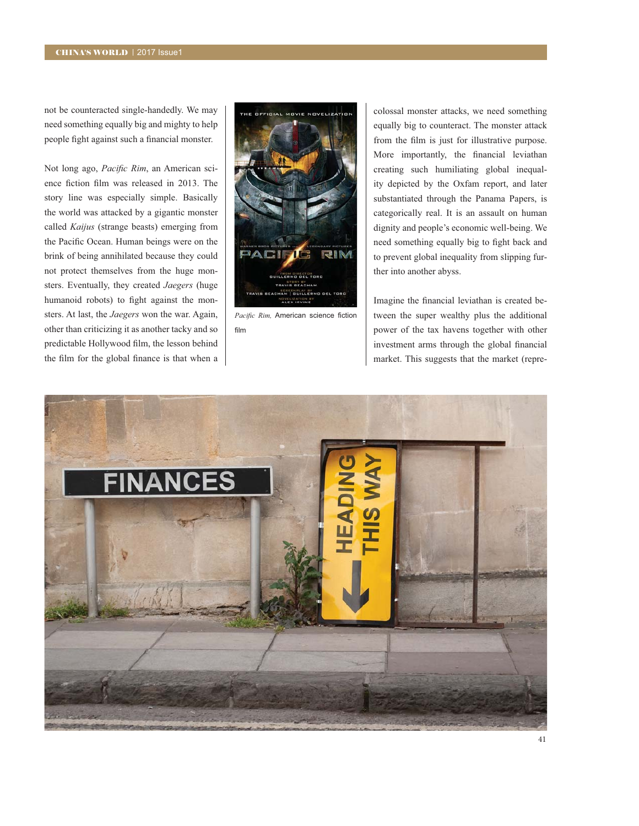not be counteracted single-handedly. We may need something equally big and mighty to help people fight against such a financial monster.

Not long ago, *Pacific Rim*, an American science fiction film was released in 2013. The story line was especially simple. Basically the world was attacked by a gigantic monster called *Kaijus* (strange beasts) emerging from the Pacific Ocean. Human beings were on the brink of being annihilated because they could not protect themselves from the huge monsters. Eventually, they created *Jaegers* (huge humanoid robots) to fight against the monsters. At last, the *Jaegers* won the war. Again, other than criticizing it as another tacky and so predictable Hollywood film, the lesson behind the film for the global finance is that when a



*Pacific Rim, American science fiction* film

colossal monster attacks, we need something equally big to counteract. The monster attack from the film is just for illustrative purpose. More importantly, the financial leviathan creating such humiliating global inequal ity depicted by the Oxfam report, and later substantiated through the Panama Papers, is categorically real. It is an assault on human dignity and people's economic well-being. We need something equally big to fight back and to prevent global inequality from slipping further into another abyss.

Imagine the financial leviathan is created between the super wealthy plus the additional power of the tax havens together with other investment arms through the global financial market. This suggests that the market (repre-

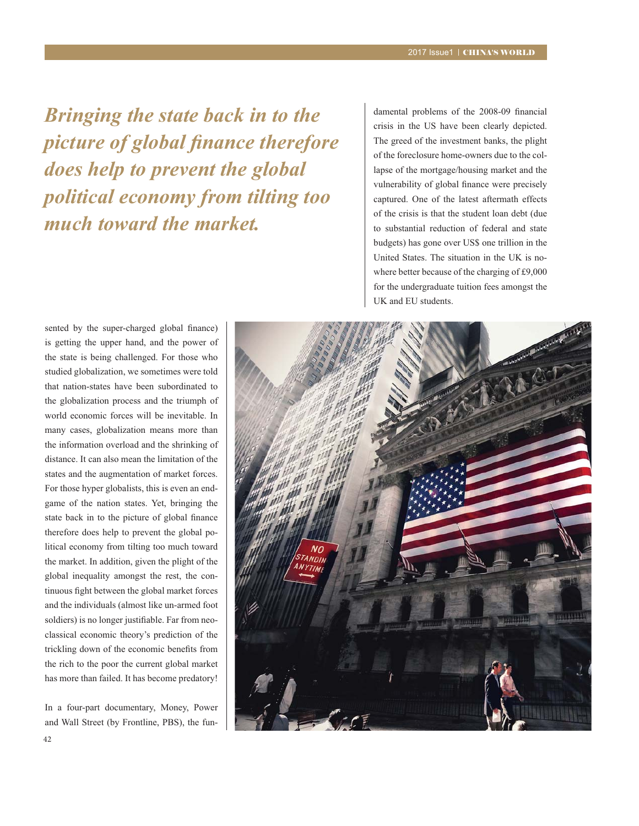*Bringing the state back in to the*  picture of global finance therefore *does help to prevent the global political economy from tilting too much toward the market.*

damental problems of the 2008-09 financial crisis in the US have been clearly depicted. The greed of the investment banks, the plight of the foreclosure home-owners due to the col lapse of the mortgage/housing market and the vulnerability of global finance were precisely captured. One of the latest aftermath effects of the crisis is that the student loan debt (due to substantial reduction of federal and state budgets) has gone over US\$ one trillion in the United States. The situation in the UK is nowhere better because of the charging of £9,000 for the undergraduate tuition fees amongst the UK and EU students.

sented by the super-charged global finance) is getting the upper hand, and the power of the state is being challenged. For those who studied globalization, we sometimes were told that nation-states have been subordinated to the globalization process and the triumph of world economic forces will be inevitable. In many cases, globalization means more than the information overload and the shrinking of distance. It can also mean the limitation of the states and the augmentation of market forces. For those hyper globalists, this is even an endgame of the nation states. Yet, bringing the state back in to the picture of global finance therefore does help to prevent the global political economy from tilting too much toward the market. In addition, given the plight of the global inequality amongst the rest, the con tinuous fight between the global market forces and the individuals (almost like un-armed foot soldiers) is no longer justifiable. Far from neoclassical economic theory's prediction of the trickling down of the economic benefits from the rich to the poor the current global market has more than failed. It has become predatory!

In a four-part documentary, Money, Power and Wall Street (by Frontline, PBS), the fun-

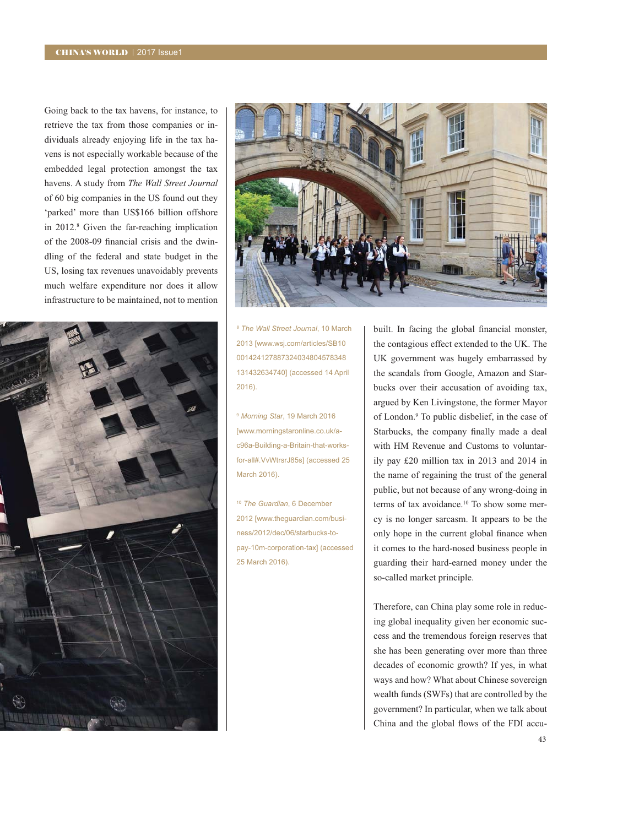Going back to the tax havens, for instance, to retrieve the tax from those companies or individuals already enjoying life in the tax ha vens is not especially workable because of the embedded legal protection amongst the tax havens. A study from *The Wall Street Journal*  of 60 big companies in the US found out they 'parked' more than US\$166 billion offshore in  $2012$ .<sup>8</sup> Given the far-reaching implication of the 2008-09 financial crisis and the dwindling of the federal and state budget in the US, losing tax revenues unavoidably prevents much welfare expenditure nor does it allow infrastructure to be maintained, not to mention





*<sup>8</sup> The Wall Street Journal*, 10 March 2013 [www.wsj.com/articles/SB10 001424127887324034804578348 131432634740] (accessed 14 April 2016).

<sup>9</sup> *Morning Star*, 19 March 2016 [www.morningstaronline.co.uk/ac96a-Building-a-Britain-that-worksfor-all#.VvWtrsrJ85s] (accessed 25 March 2016).

<sup>10</sup> *The Guardian*, 6 December 2012 [www.theguardian.com/business/2012/dec/06/starbucks-topay-10m-corporation-tax] (accessed 25 March 2016).

built. In facing the global financial monster, the contagious effect extended to the UK. The UK government was hugely embarrassed by the scandals from Google, Amazon and Starbucks over their accusation of avoiding tax, argued by Ken Livingstone, the former Mayor of London.<sup>9</sup> To public disbelief, in the case of Starbucks, the company finally made a deal with HM Revenue and Customs to voluntar ily pay  $£20$  million tax in 2013 and 2014 in the name of regaining the trust of the general public, but not because of any wrong-doing in terms of tax avoidance.<sup>10</sup> To show some mercy is no longer sarcasm. It appears to be the only hope in the current global finance when it comes to the hard-nosed business people in guarding their hard-earned money under the so-called market principle.

Therefore, can China play some role in reducing global inequality given her economic success and the tremendous foreign reserves that she has been generating over more than three decades of economic growth? If yes, in what ways and how? What about Chinese sovereign wealth funds (SWFs) that are controlled by the government? In particular, when we talk about China and the global flows of the FDI accu-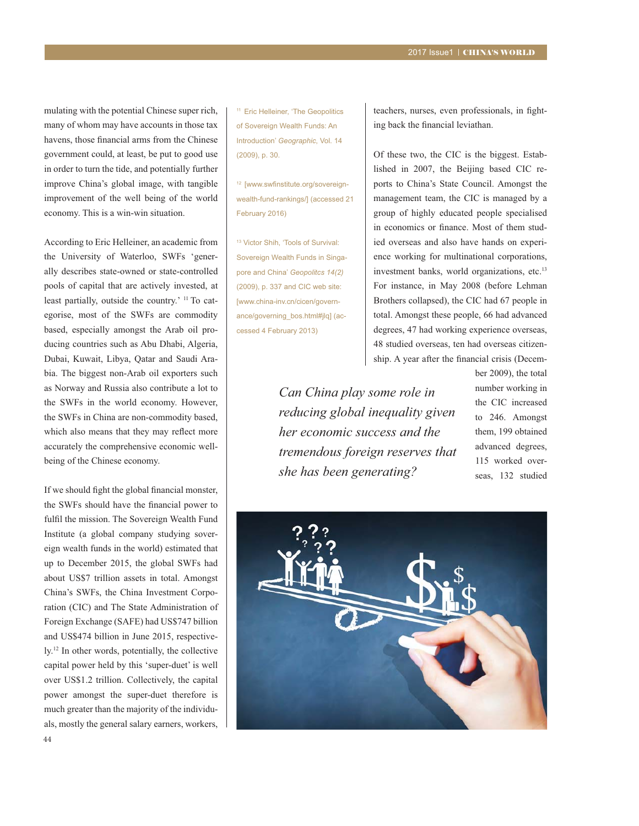mulating with the potential Chinese super rich, many of whom may have accounts in those tax havens, those financial arms from the Chinese government could, at least, be put to good use in order to turn the tide, and potentially further improve China's global image, with tangible improvement of the well being of the world economy. This is a win-win situation.

According to Eric Helleiner, an academic from the University of Waterloo, SWFs 'generally describes state-owned or state-controlled pools of capital that are actively invested, at least partially, outside the country.' <sup>11</sup> To categorise, most of the SWFs are commodity based, especially amongst the Arab oil producing countries such as Abu Dhabi, Algeria, Dubai, Kuwait, Libya, Qatar and Saudi Arabia. The biggest non-Arab oil exporters such as Norway and Russia also contribute a lot to the SWFs in the world economy. However, the SWFs in China are non-commodity based, which also means that they may reflect more accurately the comprehensive economic wellbeing of the Chinese economy.

If we should fight the global financial monster, the SWFs should have the financial power to fulfil the mission. The Sovereign Wealth Fund Institute (a global company studying sovereign wealth funds in the world) estimated that up to December 2015, the global SWFs had about US\$7 trillion assets in total. Amongst China's SWFs, the China Investment Corporation (CIC) and The State Administration of Foreign Exchange (SAFE) had US\$747 billion and US\$474 billion in June 2015, respectively.<sup>12</sup> In other words, potentially, the collective capital power held by this 'super-duet' is well over US\$1.2 trillion. Collectively, the capital power amongst the super-duet therefore is much greater than the majority of the individuals, mostly the general salary earners, workers,

<sup>11</sup> Eric Helleiner, 'The Geopolitics of Sovereign Wealth Funds: An Introduction' *Geographic*, Vol. 14 (2009), p. 30.

<sup>12</sup> [www.swfinstitute.org/sovereignwealth-fund-rankings/] (accessed 21 February 2016)

13 Victor Shih, 'Tools of Survival: Sovereign Wealth Funds in Singapore and China' *Geopolitcs 14(2)* (2009), p. 337 and CIC web site: [www.china-inv.cn/cicen/governance/governing\_bos.html#jlq] (accessed 4 February 2013)

teachers, nurses, even professionals, in fighting back the financial leviathan.

Of these two, the CIC is the biggest. Established in 2007, the Beijing based CIC re ports to China's State Council. Amongst the management team, the CIC is managed by a group of highly educated people specialised in economics or finance. Most of them studied overseas and also have hands on experience working for multinational corporations, investment banks, world organizations, etc.<sup>13</sup> For instance, in May 2008 (before Lehman Brothers collapsed), the CIC had 67 people in total. Amongst these people, 66 had advanced degrees, 47 had working experience overseas, 48 studied overseas, ten had overseas citizen ship. A year after the financial crisis (Decem-

*Can China play some role in reducing global inequality given her economic success and the tremendous foreign reserves that she has been generating?*

ber 2009), the total number working in the CIC increased to 246. Amongst them, 199 obtained advanced degrees, 115 worked overseas, 132 studied

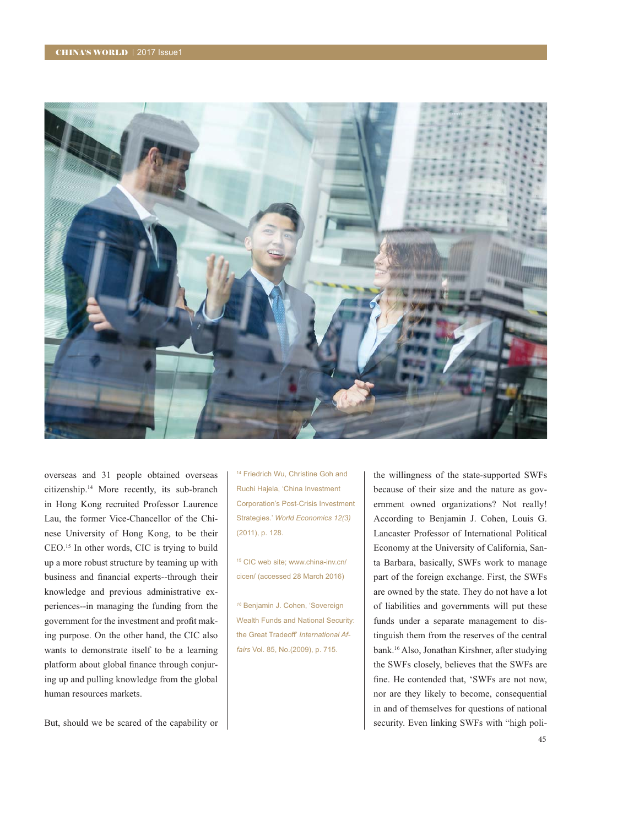

overseas and 31 people obtained overseas citizenship.<sup>14</sup> More recently, its sub-branch in Hong Kong recruited Professor Laurence Lau, the former Vice-Chancellor of the Chinese University of Hong Kong, to be their CEO.15 In other words, CIC is trying to build up a more robust structure by teaming up with business and financial experts--through their knowledge and previous administrative experiences--in managing the funding from the government for the investment and profit making purpose. On the other hand, the CIC also wants to demonstrate itself to be a learning platform about global finance through conjuring up and pulling knowledge from the global human resources markets.

14 Friedrich Wu, Christine Goh and Ruchi Hajela, 'China Investment Corporation's Post-Crisis Investment Strategies.' *World Economics 12(3)* (2011), p. 128.

15 CIC web site; www.china-inv.cn/ cicen/ (accessed 28 March 2016)

*<sup>16</sup>* Benjamin J. Cohen, 'Sovereign Wealth Funds and National Security: the Great Tradeoff' *International Affairs* Vol. 85, No.(2009), p. 715.

the willingness of the state-supported SWFs because of their size and the nature as gov ernment owned organizations? Not really! According to Benjamin J. Cohen, Louis G. Lancaster Professor of International Political Economy at the University of California, Santa Barbara, basically, SWFs work to manage part of the foreign exchange. First, the SWFs are owned by the state. They do not have a lot of liabilities and governments will put these funds under a separate management to distinguish them from the reserves of the central bank.16 Also, Jonathan Kirshner, after studying the SWFs closely, believes that the SWFs are fine. He contended that, 'SWFs are not now, nor are they likely to become, consequential in and of themselves for questions of national security. Even linking SWFs with "high poli-

But, should we be scared of the capability or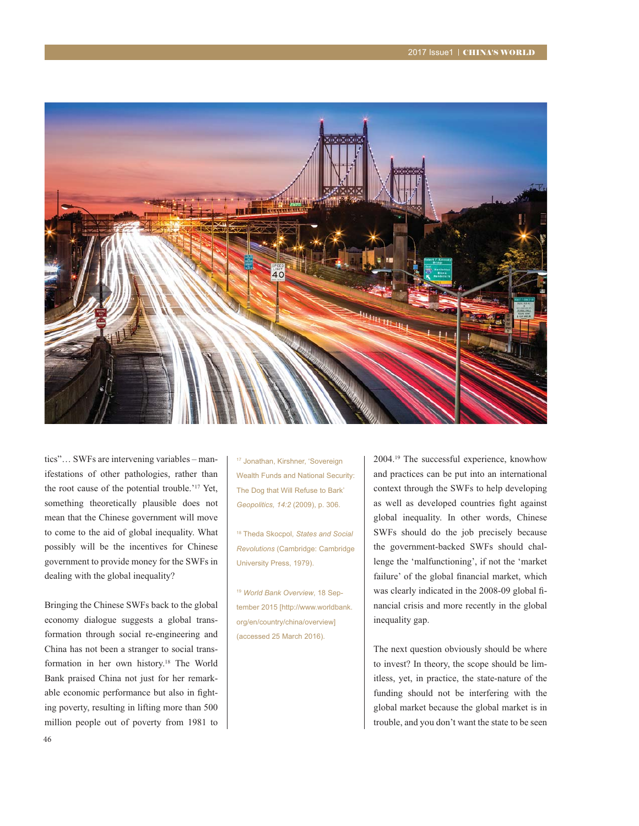

tics"... SWFs are intervening variables – manifestations of other pathologies, rather than the root cause of the potential trouble.'<sup>17</sup> Yet, something theoretically plausible does not mean that the Chinese government will move to come to the aid of global inequality. What possibly will be the incentives for Chinese government to provide money for the SWFs in dealing with the global inequality?

Bringing the Chinese SWFs back to the global economy dialogue suggests a global transformation through social re-engineering and China has not been a stranger to social transformation in her own history.<sup>18</sup> The World Bank praised China not just for her remarkable economic performance but also in fighting poverty, resulting in lifting more than 500 million people out of poverty from 1981 to 17 Jonathan, Kirshner, 'Sovereign Wealth Funds and National Security: The Dog that Will Refuse to Bark' *Geopolitics, 14:2* (2009), p. 306.

18 Theda Skocpol, *States and Social Revolutions* (Cambridge: Cambridge University Press, 1979).

<sup>19</sup> *World Bank Overview*, 18 September 2015 [http://www.worldbank. org/en/country/china/overview] (accessed 25 March 2016).

2004.<sup>19</sup> The successful experience, knowhow and practices can be put into an international context through the SWFs to help developing as well as developed countries fight against global inequality. In other words, Chinese SWFs should do the job precisely because the government-backed SWFs should chal lenge the 'malfunctioning', if not the 'market failure' of the global financial market, which was clearly indicated in the 2008-09 global financial crisis and more recently in the global inequality gap.

The next question obviously should be where to invest? In theory, the scope should be limitless, yet, in practice, the state-nature of the funding should not be interfering with the global market because the global market is in trouble, and you don't want the state to be seen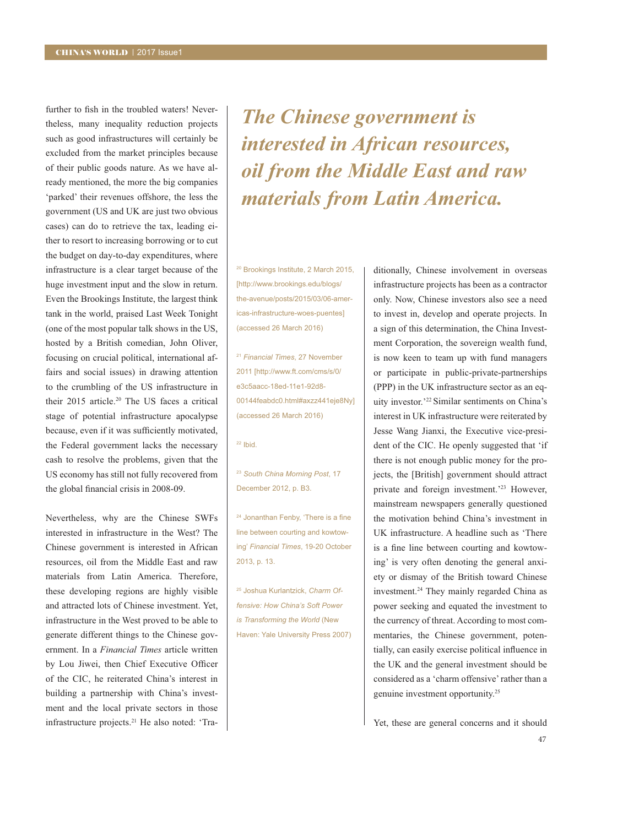further to fish in the troubled waters! Nevertheless, many inequality reduction projects such as good infrastructures will certainly be excluded from the market principles because of their public goods nature. As we have already mentioned, the more the big companies 'parked' their revenues offshore, the less the government (US and UK are just two obvious cases) can do to retrieve the tax, leading either to resort to increasing borrowing or to cut the budget on day-to-day expenditures, where infrastructure is a clear target because of the huge investment input and the slow in return. Even the Brookings Institute, the largest think tank in the world, praised Last Week Tonight (one of the most popular talk shows in the US, hosted by a British comedian, John Oliver, focusing on crucial political, international affairs and social issues) in drawing attention to the crumbling of the US infrastructure in their 2015 article.<sup>20</sup> The US faces a critical stage of potential infrastructure apocalypse because, even if it was sufficiently motivated, the Federal government lacks the necessary cash to resolve the problems, given that the US economy has still not fully recovered from the global financial crisis in 2008-09.

Nevertheless, why are the Chinese SWFs interested in infrastructure in the West? The Chinese government is interested in African resources, oil from the Middle East and raw materials from Latin America. Therefore, these developing regions are highly visible and attracted lots of Chinese investment. Yet, infrastructure in the West proved to be able to generate different things to the Chinese government. In a *Financial Times* article written by Lou Jiwei, then Chief Executive Officer of the CIC, he reiterated China's interest in building a partnership with China's investment and the local private sectors in those infrastructure projects.<sup>21</sup> He also noted: 'Tra-

*The Chinese government is interested in African resources, oil from the Middle East and raw materials from Latin America.*

20 Brookings Institute, 2 March 2015, [http://www.brookings.edu/blogs/ the-avenue/posts/2015/03/06-americas-infrastructure-woes-puentes] (accessed 26 March 2016)

<sup>21</sup> *Financial Times*, 27 November 2011 [http://www.ft.com/cms/s/0/ e3c5aacc-18ed-11e1-92d8- 00144feabdc0.html#axzz441eje8Ny] (accessed 26 March 2016)

 $22$  Ibid.

<sup>23</sup> *South China Morning Post*, 17 December 2012, p. B3.

<sup>24</sup> Jonanthan Fenby, 'There is a fine line between courting and kowtowing' *Financial Times*, 19-20 October 2013, p. 13.

25 Joshua Kurlantzick, *Charm Offensive: How China's Soft Power is Transforming the World* (New Haven: Yale University Press 2007) ditionally, Chinese involvement in overseas infrastructure projects has been as a contractor only. Now, Chinese investors also see a need to invest in, develop and operate projects. In a sign of this determination, the China Invest ment Corporation, the sovereign wealth fund, is now keen to team up with fund managers or participate in public-private-partnerships (PPP) in the UK infrastructure sector as an equity investor.'22 Similar sentiments on China's interest in UK infrastructure were reiterated by Jesse Wang Jianxi, the Executive vice-president of the CIC. He openly suggested that 'if there is not enough public money for the projects, the [British] government should attract private and foreign investment.'<sup>23</sup> However, mainstream newspapers generally questioned the motivation behind China's investment in UK infrastructure. A headline such as 'There is a fine line between courting and kowtowing' is very often denoting the general anxiety or dismay of the British toward Chinese investment.24 They mainly regarded China as power seeking and equated the investment to the currency of threat. According to most com mentaries, the Chinese government, potentially, can easily exercise political influence in the UK and the general investment should be considered as a 'charm offensive' rather than a genuine investment opportunity.<sup>25</sup>

Yet, these are general concerns and it should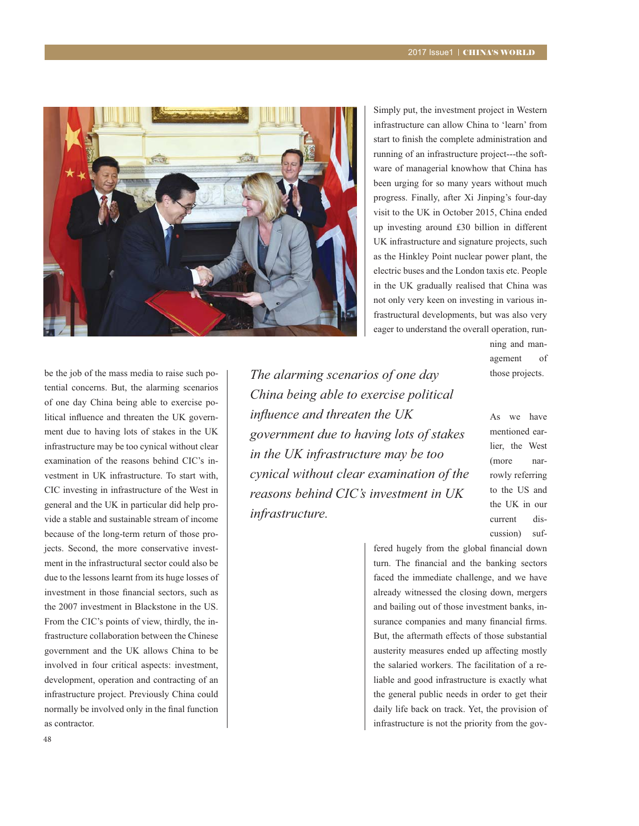

Simply put, the investment project in Western infrastructure can allow China to 'learn' from start to finish the complete administration and running of an infrastructure project---the software of managerial knowhow that China has been urging for so many years without much progress. Finally, after Xi Jinping's four-day visit to the UK in October 2015, China ended up investing around £30 billion in different UK infrastructure and signature projects, such as the Hinkley Point nuclear power plant, the electric buses and the London taxis etc. People in the UK gradually realised that China was not only very keen on investing in various in frastructural developments, but was also very eager to understand the overall operation, run-

> ning and management of those projects.

> As we have mentioned earlier, the West (more narrowly referring to the US and the UK in our current discussion) suf-

be the job of the mass media to raise such potential concerns. But, the alarming scenarios of one day China being able to exercise political influence and threaten the UK government due to having lots of stakes in the UK infrastructure may be too cynical without clear examination of the reasons behind CIC's investment in UK infrastructure. To start with, CIC investing in infrastructure of the West in general and the UK in particular did help provide a stable and sustainable stream of income because of the long-term return of those projects. Second, the more conservative investment in the infrastructural sector could also be due to the lessons learnt from its huge losses of investment in those financial sectors, such as the 2007 investment in Blackstone in the US. From the CIC's points of view, thirdly, the infrastructure collaboration between the Chinese government and the UK allows China to be involved in four critical aspects: investment, development, operation and contracting of an infrastructure project. Previously China could normally be involved only in the final function as contractor.

*The alarming scenarios of one day China being able to exercise political influence and threaten the UK government due to having lots of stakes in the UK infrastructure may be too cynical without clear examination of the reasons behind CIC's investment in UK infrastructure.* 

> fered hugely from the global financial down turn. The financial and the banking sectors faced the immediate challenge, and we have already witnessed the closing down, mergers and bailing out of those investment banks, in surance companies and many financial firms. But, the aftermath effects of those substantial austerity measures ended up affecting mostly the salaried workers. The facilitation of a reliable and good infrastructure is exactly what the general public needs in order to get their daily life back on track. Yet, the provision of infrastructure is not the priority from the gov-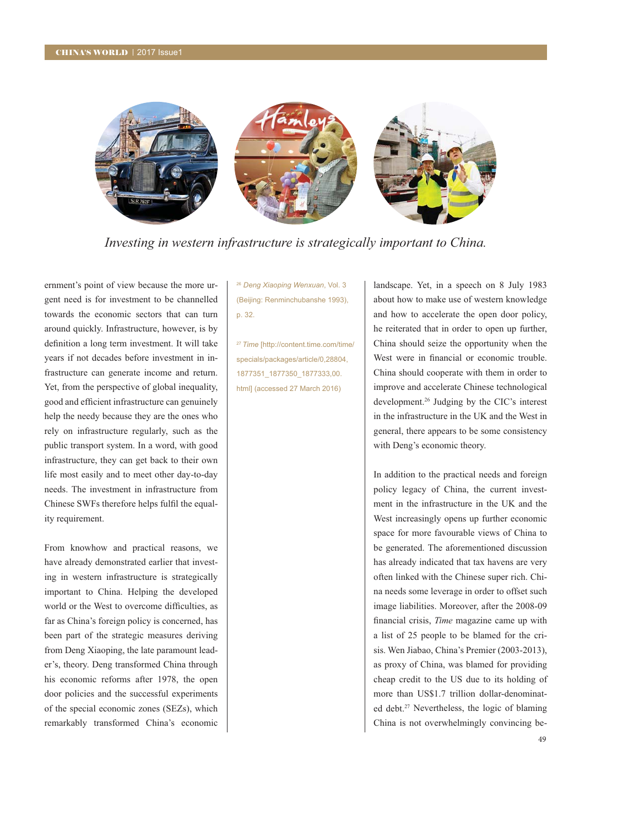

Investing in western infrastructure is strategically important to China.

ernment's point of view because the more urgent need is for investment to be channelled towards the economic sectors that can turn around quickly. Infrastructure, however, is by definition a long term investment. It will take years if not decades before investment in infrastructure can generate income and return. Yet, from the perspective of global inequality, good and efficient infrastructure can genuinely help the needy because they are the ones who rely on infrastructure regularly, such as the public transport system. In a word, with good infrastructure, they can get back to their own life most easily and to meet other day-to-day needs. The investment in infrastructure from Chinese SWFs therefore helps fulfil the equality requirement.

From knowhow and practical reasons, we have already demonstrated earlier that investing in western infrastructure is strategically important to China. Helping the developed world or the West to overcome difficulties, as far as China's foreign policy is concerned, has been part of the strategic measures deriving from Deng Xiaoping, the late paramount leader's, theory. Deng transformed China through his economic reforms after 1978, the open door policies and the successful experiments of the special economic zones (SEZs), which remarkably transformed China's economic <sup>26</sup> Deng Xiaoping Wenxuan, Vol. 3 (Beijing: Renminchubanshe 1993), p. 32.

<sup>27</sup> Time [http://content.time.com/time/ specials/packages/article/0,28804, 1877351 1877350 1877333,00. html] (accessed 27 March 2016)

landscape. Yet, in a speech on 8 July 1983 about how to make use of western knowledge and how to accelerate the open door policy, he reiterated that in order to open up further, China should seize the opportunity when the West were in financial or economic trouble. China should cooperate with them in order to improve and accelerate Chinese technological development.<sup>26</sup> Judging by the CIC's interest in the infrastructure in the UK and the West in general, there appears to be some consistency with Deng's economic theory.

In addition to the practical needs and foreign policy legacy of China, the current investment in the infrastructure in the UK and the West increasingly opens up further economic space for more favourable views of China to be generated. The aforementioned discussion has already indicated that tax havens are very often linked with the Chinese super rich. China needs some leverage in order to offset such image liabilities. Moreover, after the 2008-09 financial crisis, *Time* magazine came up with a list of 25 people to be blamed for the crisis. Wen Jiabao, China's Premier (2003-2013), as proxy of China, was blamed for providing cheap credit to the US due to its holding of more than US\$1.7 trillion dollar-denominated debt.<sup>27</sup> Nevertheless, the logic of blaming China is not overwhelmingly convincing be-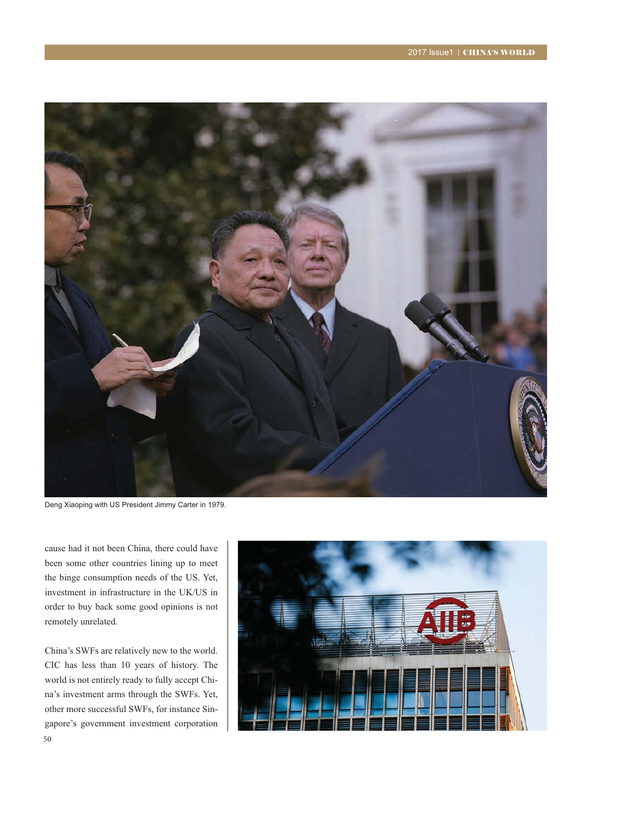

Deng Xiaoping with US President Jimmy Carter in 1979.

cause had it not been China, there could have been some other countries lining up to meet the binge consumption needs of the US. Yet, investment in infrastructure in the UK/US in order to buy back some good opinions is not remotely unrelated.

China's SWFs are relatively new to the world. CIC has less than 10 years of history. The world is not entirely ready to fully accept China's investment arms through the SWFs. Yet, other more successful SWFs, for instance Singapore's government investment corporation